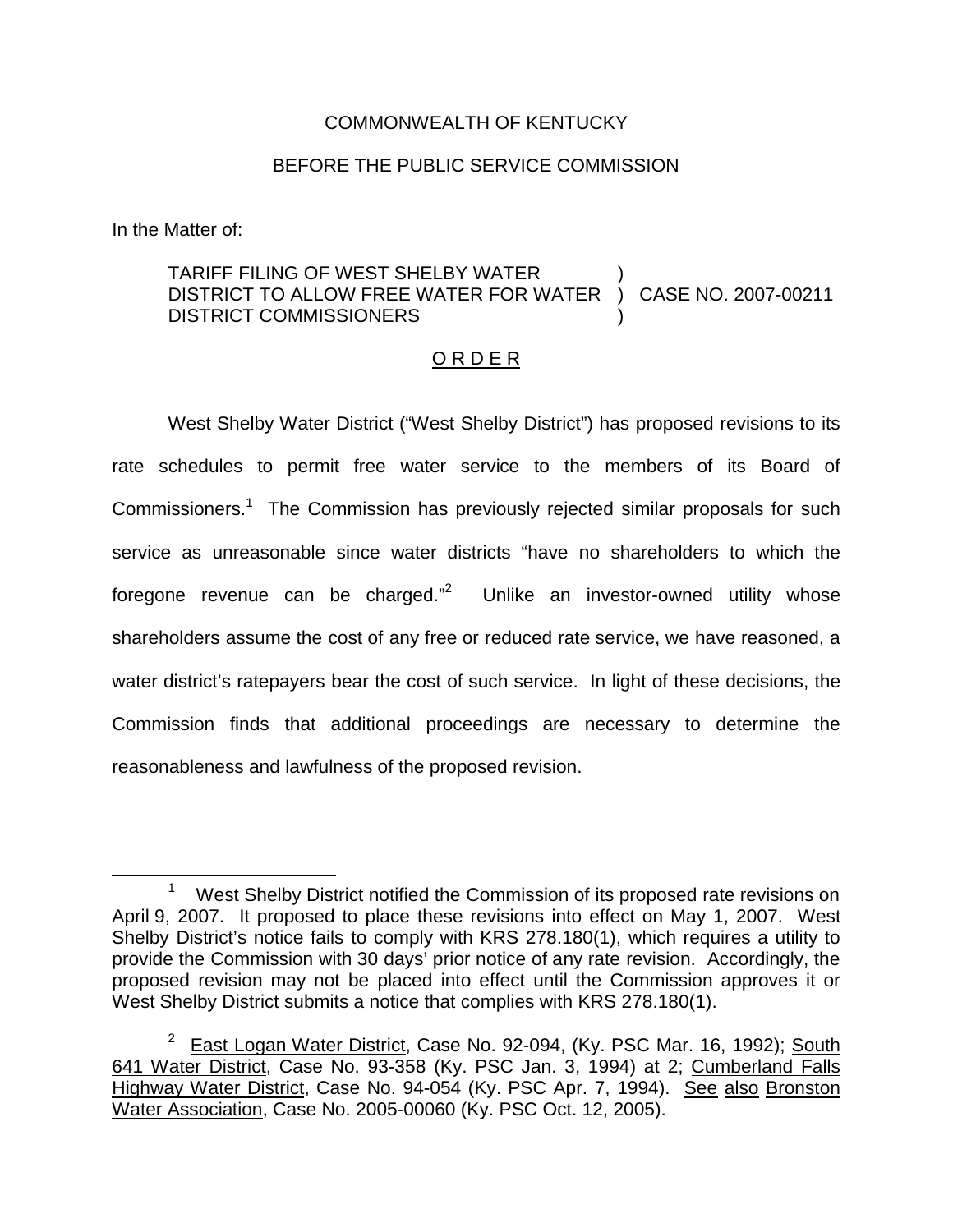## COMMONWEALTH OF KENTUCKY

## BEFORE THE PUBLIC SERVICE COMMISSION

In the Matter of:

## TARIFF FILING OF WEST SHELBY WATER DISTRICT TO ALLOW FREE WATER FOR WATER DISTRICT COMMISSIONERS ) ) CASE NO. 2007-00211 )

## O R D E R

West Shelby Water District ("West Shelby District") has proposed revisions to its rate schedules to permit free water service to the members of its Board of Commissioners.<sup>1</sup> The Commission has previously rejected similar proposals for such service as unreasonable since water districts "have no shareholders to which the foregone revenue can be charged."<sup>2</sup> Unlike an investor-owned utility whose shareholders assume the cost of any free or reduced rate service, we have reasoned, a water district's ratepayers bear the cost of such service. In light of these decisions, the Commission finds that additional proceedings are necessary to determine the reasonableness and lawfulness of the proposed revision.

<sup>&</sup>lt;sup>1</sup> West Shelby District notified the Commission of its proposed rate revisions on April 9, 2007. It proposed to place these revisions into effect on May 1, 2007. West Shelby District's notice fails to comply with KRS 278.180(1), which requires a utility to provide the Commission with 30 days' prior notice of any rate revision. Accordingly, the proposed revision may not be placed into effect until the Commission approves it or West Shelby District submits a notice that complies with KRS 278.180(1).

<sup>&</sup>lt;sup>2</sup> East Logan Water District, Case No. 92-094, (Ky. PSC Mar. 16, 1992); South 641 Water District, Case No. 93-358 (Ky. PSC Jan. 3, 1994) at 2; Cumberland Falls Highway Water District, Case No. 94-054 (Ky. PSC Apr. 7, 1994). See also Bronston Water Association, Case No. 2005-00060 (Ky. PSC Oct. 12, 2005).